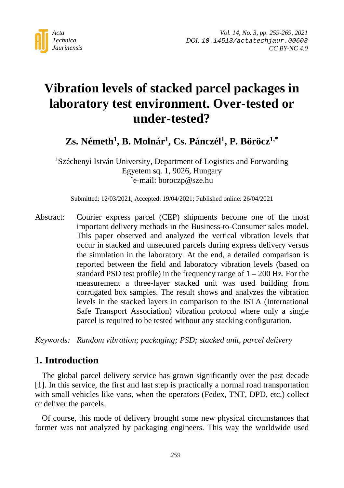

# **Vibration levels of stacked parcel packages in laboratory test environment. Over-tested or under-tested?**

Zs. Németh<sup>1</sup>, B. Molnár<sup>1</sup>, Cs. Pánczél<sup>1</sup>, P. Böröcz<sup>1,\*</sup>

1 Széchenyi István University, Department of Logistics and Forwarding Egyetem sq. 1, 9026, Hungary \* e-mail: boroczp@sze.hu

Submitted: 12/03/2021; Accepted: 19/04/2021; Published online: 26/04/2021

Abstract: Courier express parcel (CEP) shipments become one of the most important delivery methods in the Business-to-Consumer sales model. This paper observed and analyzed the vertical vibration levels that occur in stacked and unsecured parcels during express delivery versus the simulation in the laboratory. At the end, a detailed comparison is reported between the field and laboratory vibration levels (based on standard PSD test profile) in the frequency range of  $1 - 200$  Hz. For the measurement a three-layer stacked unit was used building from corrugated box samples. The result shows and analyzes the vibration levels in the stacked layers in comparison to the ISTA (International Safe Transport Association) vibration protocol where only a single parcel is required to be tested without any stacking configuration.

*Keywords: Random vibration; packaging; PSD; stacked unit, parcel delivery*

## **1. Introduction**

The global parcel delivery service has grown significantly over the past decade [1]. In this service, the first and last step is practically a normal road transportation with small vehicles like vans, when the operators (Fedex, TNT, DPD, etc.) collect or deliver the parcels.

Of course, this mode of delivery brought some new physical circumstances that former was not analyzed by packaging engineers. This way the worldwide used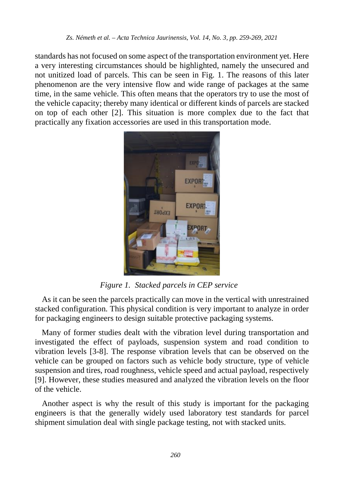standards has not focused on some aspect of the transportation environment yet. Here a very interesting circumstances should be highlighted, namely the unsecured and not unitized load of parcels. This can be seen in Fig. 1. The reasons of this later phenomenon are the very intensive flow and wide range of packages at the same time, in the same vehicle. This often means that the operators try to use the most of the vehicle capacity; thereby many identical or different kinds of parcels are stacked on top of each other [2]. This situation is more complex due to the fact that practically any fixation accessories are used in this transportation mode.



*Figure 1. Stacked parcels in CEP service*

As it can be seen the parcels practically can move in the vertical with unrestrained stacked configuration. This physical condition is very important to analyze in order for packaging engineers to design suitable protective packaging systems.

Many of former studies dealt with the vibration level during transportation and investigated the effect of payloads, suspension system and road condition to vibration levels [3-8]. The response vibration levels that can be observed on the vehicle can be grouped on factors such as vehicle body structure, type of vehicle suspension and tires, road roughness, vehicle speed and actual payload, respectively [9]. However, these studies measured and analyzed the vibration levels on the floor of the vehicle.

Another aspect is why the result of this study is important for the packaging engineers is that the generally widely used laboratory test standards for parcel shipment simulation deal with single package testing, not with stacked units.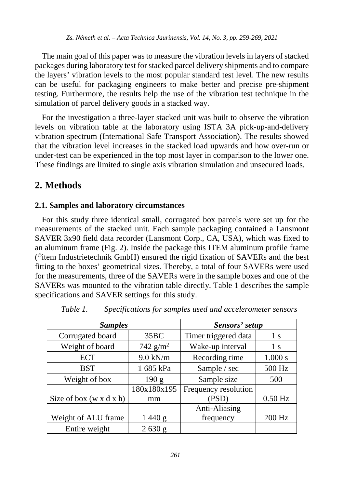The main goal of this paper was to measure the vibration levels in layers of stacked packages during laboratory test for stacked parcel delivery shipments and to compare the layers' vibration levels to the most popular standard test level. The new results can be useful for packaging engineers to make better and precise pre-shipment testing. Furthermore, the results help the use of the vibration test technique in the simulation of parcel delivery goods in a stacked way.

For the investigation a three-layer stacked unit was built to observe the vibration levels on vibration table at the laboratory using ISTA 3A pick-up-and-delivery vibration spectrum (International Safe Transport Association). The results showed that the vibration level increases in the stacked load upwards and how over-run or under-test can be experienced in the top most layer in comparison to the lower one. These findings are limited to single axis vibration simulation and unsecured loads.

# **2. Methods**

#### **2.1. Samples and laboratory circumstances**

For this study three identical small, corrugated box parcels were set up for the measurements of the stacked unit. Each sample packaging contained a Lansmont SAVER 3x90 field data recorder (Lansmont Corp., CA, USA), which was fixed to an aluminum frame (Fig. 2). Inside the package this ITEM aluminum profile frame  $($ <sup>©</sup>item Industrietechnik GmbH) ensured the rigid fixation of SAVERs and the best fitting to the boxes' geometrical sizes. Thereby, a total of four SAVERs were used for the measurements, three of the SAVERs were in the sample boxes and one of the SAVERs was mounted to the vibration table directly. Table 1 describes the sample specifications and SAVER settings for this study.

| <b>Samples</b>                      |             | Sensors' setup       |           |  |
|-------------------------------------|-------------|----------------------|-----------|--|
| Corrugated board                    | 35BC        | Timer triggered data | 1 s       |  |
| Weight of board                     | 742 $g/m^2$ | Wake-up interval     | 1 s       |  |
| <b>ECT</b>                          | $9.0$ kN/m  | Recording time       | 1.000 s   |  |
| <b>BST</b>                          | 1 685 kPa   | Sample / sec         | 500 Hz    |  |
| Weight of box                       | 190 g       | Sample size          | 500       |  |
|                                     | 180x180x195 | Frequency resolution |           |  |
| Size of box $(w \times d \times h)$ | mm          | (PSD)                | $0.50$ Hz |  |
|                                     |             | Anti-Aliasing        |           |  |
| Weight of ALU frame                 | 1440 g      | frequency            | 200 Hz    |  |
| Entire weight                       | 2630 g      |                      |           |  |

*Table 1. Specifications for samples used and accelerometer sensors*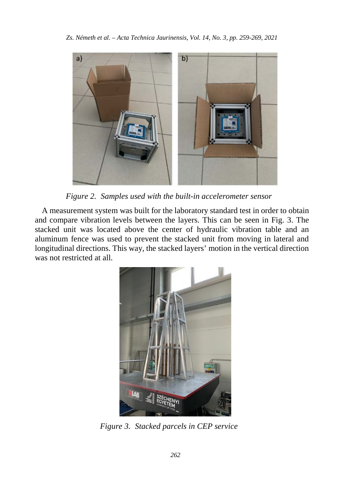

*Figure 2. Samples used with the built-in accelerometer sensor*

A measurement system was built for the laboratory standard test in order to obtain and compare vibration levels between the layers. This can be seen in Fig. 3. The stacked unit was located above the center of hydraulic vibration table and an aluminum fence was used to prevent the stacked unit from moving in lateral and longitudinal directions. This way, the stacked layers' motion in the vertical direction was not restricted at all.



*Figure 3. Stacked parcels in CEP service*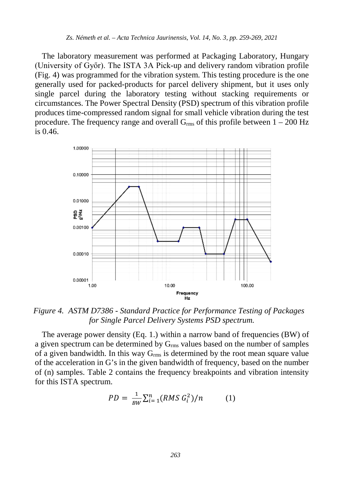The laboratory measurement was performed at Packaging Laboratory, Hungary (University of Győr). The ISTA 3A Pick-up and delivery random vibration profile (Fig. 4) was programmed for the vibration system. This testing procedure is the one generally used for packed-products for parcel delivery shipment, but it uses only single parcel during the laboratory testing without stacking requirements or circumstances. The Power Spectral Density (PSD) spectrum of this vibration profile produces time-compressed random signal for small vehicle vibration during the test procedure. The frequency range and overall  $G_{rms}$  of this profile between  $1 - 200$  Hz is  $0.46$ .



*Figure 4. ASTM D7386 - Standard Practice for Performance Testing of Packages for Single Parcel Delivery Systems PSD spectrum.*

The average power density (Eq. 1.) within a narrow band of frequencies (BW) of a given spectrum can be determined by Grms values based on the number of samples of a given bandwidth. In this way  $G_{rms}$  is determined by the root mean square value of the acceleration in G's in the given bandwidth of frequency, based on the number of (n) samples. Table 2 contains the frequency breakpoints and vibration intensity for this ISTA spectrum.

$$
PD = \frac{1}{BW} \sum_{i=1}^{n} (RMS \ G_i^2) / n \tag{1}
$$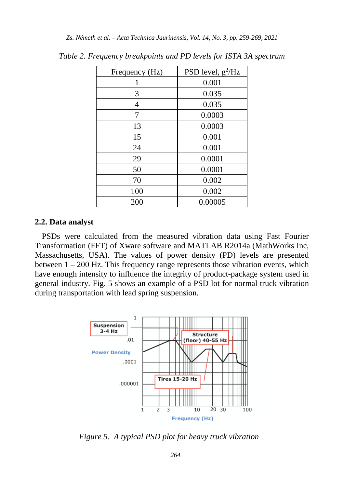| Frequency (Hz) | PSD level, $g^2/Hz$ |  |  |
|----------------|---------------------|--|--|
|                | 0.001               |  |  |
| 3              | 0.035               |  |  |
| 4              | 0.035               |  |  |
| 7              | 0.0003              |  |  |
| 13             | 0.0003              |  |  |
| 15             | 0.001               |  |  |
| 24             | 0.001               |  |  |
| 29             | 0.0001              |  |  |
| 50             | 0.0001              |  |  |
| 70             | 0.002               |  |  |
| 100            | 0.002               |  |  |
| 200            | 0.00005             |  |  |

*Table 2. Frequency breakpoints and PD levels for ISTA 3A spectrum*

#### **2.2. Data analyst**

PSDs were calculated from the measured vibration data using Fast Fourier Transformation (FFT) of Xware software and MATLAB R2014a (MathWorks Inc, Massachusetts, USA). The values of power density (PD) levels are presented between  $1 - 200$  Hz. This frequency range represents those vibration events, which have enough intensity to influence the integrity of product-package system used in general industry. Fig. 5 shows an example of a PSD lot for normal truck vibration during transportation with lead spring suspension.



*Figure 5. A typical PSD plot for heavy truck vibration*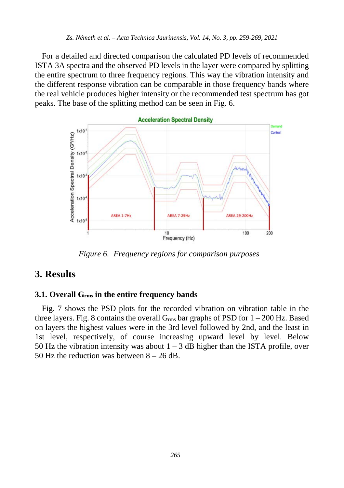For a detailed and directed comparison the calculated PD levels of recommended ISTA 3A spectra and the observed PD levels in the layer were compared by splitting the entire spectrum to three frequency regions. This way the vibration intensity and the different response vibration can be comparable in those frequency bands where the real vehicle produces higher intensity or the recommended test spectrum has got peaks. The base of the splitting method can be seen in Fig. 6.



*Figure 6. Frequency regions for comparison purposes*

# **3. Results**

#### **3.1. Overall Grms in the entire frequency bands**

Fig. 7 shows the PSD plots for the recorded vibration on vibration table in the three layers. Fig. 8 contains the overall  $G_{\rm rms}$  bar graphs of PSD for  $1 - 200$  Hz. Based on layers the highest values were in the 3rd level followed by 2nd, and the least in 1st level, respectively, of course increasing upward level by level. Below 50 Hz the vibration intensity was about  $1 - 3$  dB higher than the ISTA profile, over 50 Hz the reduction was between  $8 - 26$  dB.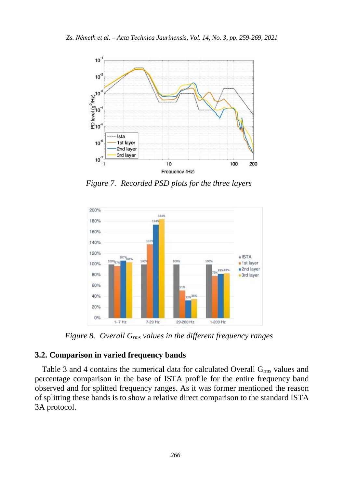

*Figure 7. Recorded PSD plots for the three layers*



*Figure 8. Overall Grms values in the different frequency ranges*

#### **3.2. Comparison in varied frequency bands**

Table 3 and 4 contains the numerical data for calculated Overall  $G<sub>rms</sub>$  values and percentage comparison in the base of ISTA profile for the entire frequency band observed and for splitted frequency ranges. As it was former mentioned the reason of splitting these bands is to show a relative direct comparison to the standard ISTA 3A protocol.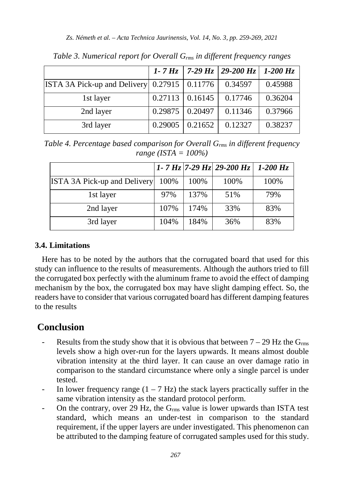|                                                |                   |         | 1 - 7 Hz   7 - 29 Hz   29 - 200 Hz   1 - 200 Hz |         |
|------------------------------------------------|-------------------|---------|-------------------------------------------------|---------|
| ISTA 3A Pick-up and Delivery $0.27915$ 0.11776 |                   |         | 0.34597                                         | 0.45988 |
| 1st layer                                      | $0.27113$ 0.16145 |         | 0.17746                                         | 0.36204 |
| 2nd layer                                      | 0.29875 0.20497   |         | 0.11346                                         | 0.37966 |
| 3rd layer                                      | 0.29005           | 0.21652 | 0.12327                                         | 0.38237 |

*Table 3. Numerical report for Overall Grms in different frequency ranges*

*Table 4. Percentage based comparison for Overall Grms in different frequency range (ISTA = 100%)*

|                                     |      |      | 1 - 7 Hz   7 - 29 Hz   29 - 200 Hz | $1-200$ Hz |
|-------------------------------------|------|------|------------------------------------|------------|
| <b>ISTA 3A Pick-up and Delivery</b> | 100% | 100% | 100%                               | 100%       |
| 1st layer                           | 97%  | 137% | 51%                                | 79%        |
| 2nd layer                           | 107% | 174% | 33%                                | 83%        |
| 3rd layer                           | 104% | 184% | 36%                                | 83%        |

#### **3.4. Limitations**

Here has to be noted by the authors that the corrugated board that used for this study can influence to the results of measurements. Although the authors tried to fill the corrugated box perfectly with the aluminum frame to avoid the effect of damping mechanism by the box, the corrugated box may have slight damping effect. So, the readers have to consider that various corrugated board has different damping features to the results

## **Conclusion**

- Results from the study show that it is obvious that between  $7 29$  Hz the  $G_{rms}$ levels show a high over-run for the layers upwards. It means almost double vibration intensity at the third layer. It can cause an over damage ratio in comparison to the standard circumstance where only a single parcel is under tested.
- In lower frequency range  $(1 7 \text{ Hz})$  the stack layers practically suffer in the same vibration intensity as the standard protocol perform.
- On the contrary, over 29 Hz, the  $G_{\rm rms}$  value is lower upwards than ISTA test standard, which means an under-test in comparison to the standard requirement, if the upper layers are under investigated. This phenomenon can be attributed to the damping feature of corrugated samples used for this study.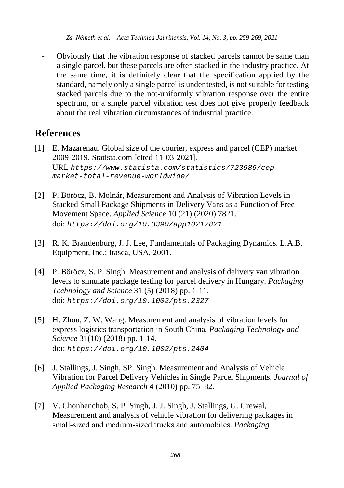*Zs. Németh et al. – Acta Technica Jaurinensis, Vol. 14, No. 3, pp. 259-269, 2021*

- Obviously that the vibration response of stacked parcels cannot be same than a single parcel, but these parcels are often stacked in the industry practice. At the same time, it is definitely clear that the specification applied by the standard, namely only a single parcel is under tested, is not suitable for testing stacked parcels due to the not-uniformly vibration response over the entire spectrum, or a single parcel vibration test does not give properly feedback about the real vibration circumstances of industrial practice.

# **References**

- [1] E. Mazarenau. Global size of the courier, express and parcel (CEP) market 2009-2019. Statista.com [cited 11-03-2021]. URL *[https://www.statista.com/statistics/723986/cep](https://www.statista.com/statistics/723986/cep-market-total-revenue-worldwide/)[market-total-revenue-worldwide/](https://www.statista.com/statistics/723986/cep-market-total-revenue-worldwide/)*
- [2] P. Böröcz, B. Molnár, Measurement and Analysis of Vibration Levels in Stacked Small Package Shipments in Delivery Vans as a Function of Free Movement Space. *Applied Science* 10 (21) (2020) 7821. doi: *<https://doi.org/10.3390/app10217821>*
- [3] R. K. Brandenburg, J. J. Lee, Fundamentals of Packaging Dynamics. L.A.B. Equipment, Inc.: Itasca, USA, 2001.
- [4] P. Böröcz, S. P. Singh. Measurement and analysis of delivery van vibration levels to simulate package testing for parcel delivery in Hungary. *Packaging Technology and Science* 31 (5) (2018) pp. 1-11. doi: *<https://doi.org/10.1002/pts.2327>*
- [5] H. Zhou, Z. W. Wang. Measurement and analysis of vibration levels for express logistics transportation in South China. *Packaging Technology and Science* 31(10) (2018) pp. 1-14. doi: *<https://doi.org/10.1002/pts.2404>*
- [6] J. Stallings, J. Singh, SP. Singh. Measurement and Analysis of Vehicle Vibration for Parcel Delivery Vehicles in Single Parcel Shipments. *Journal of Applied Packaging Research* 4 (2010**)** pp. 75–82.
- [7] V. Chonhenchob, S. P. Singh, J. J. Singh, J. Stallings, G. Grewal, Measurement and analysis of vehicle vibration for delivering packages in small‐sized and medium‐sized trucks and automobiles. *Packaging*